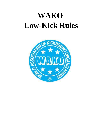# **WAKO Low-Kick Rules**

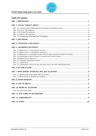

| <b>Table of Contents</b> |  |
|--------------------------|--|
|                          |  |
|                          |  |
|                          |  |
|                          |  |
|                          |  |
|                          |  |
|                          |  |
|                          |  |
|                          |  |
|                          |  |
|                          |  |
|                          |  |
|                          |  |
|                          |  |
|                          |  |
|                          |  |
|                          |  |
|                          |  |
|                          |  |
|                          |  |
|                          |  |
|                          |  |
|                          |  |
|                          |  |
|                          |  |
|                          |  |
|                          |  |
|                          |  |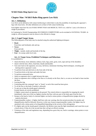# **WAKO Rules Ring Sports Low**



# **Chapter Nine / WAKO Rules Ring sports Low Kick**

# <span id="page-2-0"></span>**Art. 1. Definition.**

Low Kick can be defined as full contact kickboxing in which there is also the possibility of attacking the opponent's legs with clean kicks. All other definitions are as those of full contact kickboxing

Each fighter must have his own WAKO SPORT PASS with MEDICAL TEST in it, valid for 1 year, to be shown at weigh-in procedures.

In Continental or World Championships NO FOREIGN COMPETITORS can be included in NATIONAL TEAMS. At weigh-in, official passports must be shown to the officials in charge.

# <span id="page-2-1"></span>**Art. 2. Legal Target Areas.**

The following parts of the body may be attacked using the authorized fighting techniques:

- **Head:**
- Front (face and forehead), side and top.
- **Torso:**
- Front and side
- **Thighs -** outside, inside and backside of the hip.
- Foot for sweeps ankle level only.

#### **Art. 2.1 Target Areas, Prohibited Techniques and Behaviour.**

<span id="page-2-2"></span>It is prohibited to:

- Attack the throat, lower abdomen, kidneys, back, legs, joints, groin, neck, nape and top of the shoulders.
- Attack with the knee, elbow, head-buts, thumb andshoulder.
- Turn one's back to the opponent, run away, fall down, intentional clinching, blind techniques, wrestling and ducking below opponent's waist.
- To perform front and side kicks to the front side of the hip.
- To perform kicks to the knee and under the knee.
- To perform somersault kicks.
- Attack an opponent who is caught between the ropes.
- Attack an opponent who is falling to the floor or is already on the floor; that is, as soon as one hand or knee touches the floor.
- Leaving the ring
- Continuing after the command "stop" or "break" or end of the round has been given.
- To oil the face or the body (Vaseline is allowed).
- To spit out or drop the mouth-guard voluntarily. Ground Attacks are strictly prohibited:

A fighter cannot attack an opponent on the ground. The central referee is responsible for stopping the match immediately when one of the two fighters touches the floor with any part of the body apart from his feet.

- Stomps to the head or body of a downed fighter can lead to minus points or disqualification (judges decide by majority decision).
- Unsportsmanlike conduct. A fighter shall have only one warning, then the normal procedure for penalty and disqualification shall be followed. However, in the case of gross unsportsmanlike conduct, the fighter may be penalized with a minus point or be disqualified depending on the severity of the infringement.
- If a fighter spits out the mouth-guard voluntarily, the Referee must stop the fight immediately and count him as per a knock-down. If they do it the second time they will get an official warning.
- Violations of the rules and regulations may, depending how grave they are, lead to warnings, minus points or even disqualification.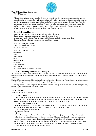

# **WAKO Rules Ring Sports Low KickCoach/ Second.**

The coach/second must remain seated at all times on the chair provided and must not interfere or disrupt with smooth running of the match by word, gesture and deed. It's strictly prohibited for the coach/second to come into the ring wearing shorts, slippers, jeans and any kind of hats. Coaches must wear the National Team Track Suit (long trousers, t-shirts and runners are allowed). After two verbal warnings given to the coach or second the Referee has right to give the official warning to the kickboxer, if they did not obey their orders. No coach is allowed to go to the podium during or immediately after the presentation.

# **It´s strictly prohibited to:**

- Inappropriately arguing/commenting on a referees/ judge's decision.
- Inappropriately arguing/commenting on a score given or not given.
- Attacking or verbally abusing Referee, Judges and Officials either inside or outside the ring.
- <span id="page-3-0"></span>Pushing, grabbing, spitting or even attempting any of these actions.

# **Art. 2.2 Legal Techniques.**

- **Art. 2.2.1 Hand Techniques.**
- <span id="page-3-2"></span><span id="page-3-1"></span>• All boxing punches

# **Art. 2.2.2 Foot Techniques.**

- Front kick
- Side kick
- Roundhouse kick
- Heel kick
- Crescent kick
- Axe kick
- Jumping kicks
- Foot sweeps
- It's allowed to use the shin while kicking.

# **Art. 2.2.3 Sweeping, hand and foot techniques.**

<span id="page-3-3"></span>Foot sweeps (ankle level only, from outside to inside and vice versa to unbalance the opponent and following up with hand/kicking techniques or to bring the unbalanced opponent to the canvas or to touch it with any part of body apart from feet).

Hand and foot techniques should be used equally during the entire fighting period. Foot techniques are only recognized when they clearly show the intention to hit the opponent with power.

All techniques must be used with power. Any technique which is partially deviated or blocked, or that simply touches, brushes or pushes an opponent will not be scored.

# <span id="page-3-4"></span> **Art. 3. Decisions.**

The decisions will be reached as follows:

**Victory by points (P):**

At the end of a bout, the kickboxer who has obtained a victory by the decision of the majority of judges is declared the winner. If both fighters are injured or KO and cannot continue the fight, judges will mark the points obtained by each fighter to that point and the fighter ahead by points will be declared the winner.

**Victory by abandonment (AB):**

If a kickboxer voluntarily gives up, due to an injury or any other reason, or if they fail to continue the fight after the one minute break between the rounds, their opponent will be declared the winner.

**Victory by stoppage (RSC, RSC-H**):

Referee stops Contest

**Injury**:

If the Referee judges a fighter unable to continue the fight, due to an injury or any other physical reason, the fight will be stopped and their opponent declared the winner. The right to make such a decision is incumbent upon the Referee who can consult the doctor. Having done so, the Referee will follow the doctor's advice. Heeding the doctor´s opinion the Referee can decide should the bout be continued or not, but only in case when the doctor allows to continue the fight. When the Referee asks the doctor to intervene, they will be the only officials present in the ring. No second will be admitted.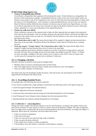

# **WAKO Rules Ring Sports Low**

**Kick Victory by disqualification (DISQ):**

If a kickboxer is disqualified, their opponent will be declared the winner. If both kickboxers are disqualified, the decision will be announced accordingly. A disqualified kickboxer cannot receive any reward, medal, trophy, any honorary award, grade or title of the competition in the course of which they have been disqualified, no matter what the reason was for disqualification - scale of penalty or unsportsmanlike behaviour. Except in the case when the Board of Directors decides differently (in its absence, the decision may be made by the Appeal Board, or if none, by an official responsible for the event). Such a decision not taken by the Board of Directors may be, following a request, submitted to a review and confirmation of the Appeal Board itself.

# **Victory by walk over (WO):**

When a kickboxer is present in the ring and ready to fight, and their opponent does not appear when announced three times by the loud speaker. After two minutes, the gong will ring and the Referee will declare the fighter who is present in the ring the winner by walk over. The Referee calls the kickboxer to the centre of the ring and raises their hand as the winner.

- **The 3 knock-down rule is valid.** This means that the fight will be stopped if a fighter has been knocked down three times in the same fight. The Referee declares the kickboxer winner after the 3rd knock down, counting up to ten.
- **In the age category "Younger Juniors" the 2 knock-down rule is valid**. This means that the fight will be stopped if a fighter has been knocked down twice (2 times) in the same fight.
- In all age categories knock downs should be counted as two points. If electronic scoring system is used, just one point will come from each judge and one from time keeper who obliged to push KD "button". If clickers are used, each judge is obliged to click their clickers twice (2 times) in case of KD. It does not matter what was the reason for counting down: punch, kick or kickboxer's behaviour.

# <span id="page-4-0"></span>**Art. 4. Changing a decision.**

All public decisions are definitive and cannot be changed unless:

- Mistakes which occurred in calculating the points arediscovered;
- One of the Judges declares they have made a mistake and switched the scores of the fighters;
- There are evident violations of WAKO rules.

The Chief of the ring will immediately handle all protests. After discussions, the representative of the WAKO Appeal Board will announce the official result.

# <span id="page-4-1"></span>**Art. 5. Awarding of points/Score.**

In awarding points, the following rules must be respected:

A score must be awarded when a legal technique is performed to the following criteria to the legal scoring area.

- 1. Good Form (good technique with absolute balance).
- 2. Vigorous Application (full power and speed).
- 3. Awareness (total concentration and not turning away the head during delivery of the technique).
- 4. Good Timing and Correct Distance (when techniques have the most potential effect).
- 5. Sporting Attitude (non-malicious attitude during delivery of technique).

# <span id="page-4-2"></span> **Art. 5.1 Directive 1 - concerning blows.**

During each round, a judge will mark the respective score for each Kickboxer, according to the number of blows that each one has received. To count a punch or a kick as a point it must not be blocked or stopped. The value of registered blows in a fight will be counted at the end of each round and granted to the better Kickboxer, according to his degree of superiority. Blows given by a Kickboxer will not be taken into account:

- If they are contrary to regulations.
- If they land on the arms.
- If they are weak and do not come from legs, body orshoulders.
- If they are partly deviated or blocked.
- If they simply touch, brushes or pushes an opponent.
- If the kickboxer loses their balance or falls down while hitting or sweeping.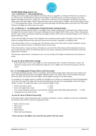

## **WAKO Rules Ring Sports Low Kick Art. 5.2 Directive 2 - concerning offences.**

<span id="page-5-0"></span>During each round a judge cannot penalize each offence they see, regardless of whether the Referee has noticed it or not. They have to call the Referees attention to that offence. If the Referee gives an official warning to one of the fighters, the Judges must note it, writing "W" on the FOULS column on the scoring paper, but that does not mean a minus point to the other fighter. When a Referee decides to give a minus point to a fighter, each of three judges will put a "-1" in the appropriate column. At the end of the round each judge will add three points to the final score of the other kickboxer (if judges use clickers and score cards).

# <span id="page-5-1"></span>**Art. 5.3 Directive 3 - awarding points (Using Electronic Scoring System).**

For all legal techniques (punches, kicks or sweeping), clearly landed on legal targets with speed, focus, balance, power, the judge will once push a button of his mouse indicating the correct fighter (Red or Blue corner). Points, starting from the first round, will be continuously added from all judges and they will be seen to everybody through a screen which is placed on the jury's table.

At the end of the fight, the winner is the competitor who scored more points (which will appear on the screen). An effective technique delivered at the same time that the end of the bout is signalled, is considered valid.

If the referee inflicts a foul or a warning, they will indicate in front of the Chief referee and the timekeeper who has to put it in the electronic system. It will then be shown on the screen.

If the referee inflicts a minus point they will indicate so in front of the Chief referee and the timekeeper who has to put it in the electronic system. It will then be shown on the screens, reducing 3 point from the total score from each judge (total of 9 points).

The electronic system shows a running time score. In every moment of the fight everybody knows the situation of points.

## **In case of a draw (Electronic Scoring)**

 If the match ends, by one or more judges, in a draw (equal points after 3 rounds), to determine a winner, the electronic scoring system will automatically assign the win to a fighter who scored the most points in the last round.

#### <span id="page-5-2"></span>**Art. 5.4 Awarding points (Using Clickers and Scorecards).**

For all legal techniques (punches, kicks or sweeping), clearly landed on legal targets with speed, focus, balance and power, the judge will give points to each fighter using the clickers. The clicker score will be recorded on the paper after each round. The winner will be the fighter with the highest scoring over the three rounds.

It is mandatory if no digital system is available for all judges to use clickers in Continental and World Championships. At the end of the match, the judge will sum the total points given and name the winning fighter who has the larger number of points. The judge must make a circle around the fighter's name.

- Punch to the body or head  $= 1$  Click
- Kick to the thigh, body or head  $= 1$  Click
- Foot sweeps leading the opponent to touch the floor with any part of the body apart from feet  $= 1$  Click
- Jumping kicks to the body or head  $= 1$  Click

#### **In case of a draw (Clickers/Scorecard).**

If the match ends in a draw (equal points after 3 rounds), to determine a winner, a judge has to take into consideration the remarks on the WAKO scorecard in appropriate order:

- Better in the last round.
- More active.
- More kicks.
- Better defence.
- Better style and techniques.

#### <span id="page-5-3"></span>**Victory must go to the fighter who scored the most points in the last round.**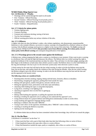

## <span id="page-6-1"></span>**WAKO Rules Ring Sports Low**  Art. 5.6 Directive  $4$  – Penalty.

- Warnings will be carried through the match to allrounds:
- First Violation Official Warning.
- Second Violation Official Warning Award penalty point-1.
- Third Violation Official Warning Award penalty point-1.
- Fourth Violation Disqualification.

## **Art. 5.7 Criteria for minus points.**

- Unclean fighting style.
- Constant clinching.
- Constant and continuous ducking, turning of the back.
- Too few foot techniques.
- Official warning given before any serious violation of the rules.

### **Art. 5.7.1 Offences.**

A fighter who does not obey the Referee' s orders, who violates regulations, who demonstrates unsportsmanlike behaviour or who commits offences, can receive a caution, warning or be disqualified by a Referee without an official warning. Only **4** official warnings can be given to a fighter in the course of the entire bout. The **forth** warning will mean automatic DISQUALIFICATION (**the procedure starts from official warning, first minus point, second minus point, forth official warning** and consequent disqualification of the fighter).

### <span id="page-6-0"></span>**Art. 5.7.2 Warnings given to the second count against the kickboxer.**

A Referee may, without stopping the fight, give a caution to a kickboxer at any moment. If they want to give a warning to a kickboxer, they will stop the fight and announce the offence. The Referee after two verbal warnings has right to punish the kickboxer if the coach/second does not obey his orders. They will show it to the three judges, pointing with their finger to the kickboxer at fault (only when clickers system is used). The Referee shows it to the Chief Referee of the ring and timekeeper who has to put it in the electronic system (only when electronic system is used).

A third caution for the same foul will lead to the last verbal warning. In order to do this the Referee must stop the bout, but not the time, and explain clearly the violation of the rules facing the offender. After the last verbal warning the Referee obliged to give the official warning. In order to do this the Referee must stop the bout and the time and put the opponent to the neutral corner.

#### **The following actions are considered fouls:**

- Punching below the belt, hooking, tripping, hitting with the knees, forearms, elbows or shoulders
- Head butting, strangling the opponent, pushing their head outside the ropes.
- Hitting with open gloves, inside of the gloves, and also with the wrist.
- Hitting the opponent's back, particularly on the neck, nape and kidneys.
- Attacking while holding the ropes or using themimproperly.
- Lying down, wrestling or not fighting at all.
- Attacking an opponent who is on the floor or getting up.
- Clinching.
- Hitting while hooking the opponent, or pulling the opponent into the blow
- Hooking or holding the opponent's arm or putting an arm underneath the opponent's arm.
- Using artificial means for a passive defence and falling down intentionally in order to avoid a blow.
- Using insulting and aggressive language during a round.
- Refusing to withdraw after the order "BREAK".
- Trying to land a blow on the opponent, immediately after a "BREAK" order or before withdrawing.
- Assailing or insulting the Referee at any time.
- Spitting out the mouth guard.

If a Referee thinks that an offence has been committed without their knowledge, they will have to consult the judges.

#### **Art. 6. On the floor.**

A Kickboxer is considered "on the floor" if:

- If they touch the floor with a part of their body other than their feet following a blow or series of blows.
- If they hopelessly hang on the ropes after a blow or a series ofblows.
- If they find themselves outside the ropes, partly or completely, after a blow or a series of blows.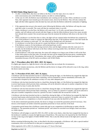

# **WAKO Rules Ring Sports Low**

- If, after a violent blow, they have not fallen to the floor or into the ropes, but is in a state of semi-consciousness and, in the Referees opinion, not able to continue fighting.
- In the case of a KD, the Referee must immediately start counting out the seconds. When a kickboxer is on the floor, their opponent must instantly go to the neutral corner, shown by the Referee. They will only continue the fight with their fallen opponent when the latter has risen and when the Referee ordered the continuation of fighting.
- If the opponent does not go to the neutral corner following the Referees order, the Referee will stop the count until their order is executed. The count will then be continued where it was left.
- When a kickboxer is on the floor, the Referee will count from 1 to 10 with a second interval between each number, and will indicate each second with their fingers so that the fallen kickboxer knows how many seconds have already been counted. One second must pass from the moment the kickboxer falls down to the start of the count.
- When a kickboxer is on the floor due to a blow, the fight will not continue before the Referee has counted to 8, even if the kickboxer is ready to continue the fight before that time. If the kickboxer doesn't raise their hands the Referee will continue to count until "10", the round will be finished and a KO declared.
- If a kickboxer is on the floor at the end of a round, the Referee will continue the count even if the bell rings. If the Referee counts to 10, the kickboxer will be declared loser via KO.
- If a kickboxer is on the floor after having received a blow and the fight continues after the count out of 8 seconds, but the kickboxer falls back on the floor without receiving another blow, the Referee will resume the count, starting at 8.
- If both kickboxer's fall at the same time, the count will continue on as long as one of them is still on the floor. If they both remain on the floor after 10 seconds, the bout will be stopped and decision given, considering the points granted before the KO. Nevertheless, this winner will be suspended from further participation in this tournament because of the KO and in accordance with WAKO Rules.

# <span id="page-7-1"></span><span id="page-7-0"></span>**Art. 7. Procedure after KO, RSC, RSC-H, Injury.**

If a fighter gets injured in a fight the doctor is the only person that can evaluate the circumstances.

If a kickboxer remains unconscious, only the Referee and the doctor in charge will be allowed to stay in the ring, unless the doctor needs extra help.

# <span id="page-7-2"></span> **Art. 7.1 Procedure if KO, RSC, RSC-H, Injury.**

A kickboxer who has been knocked out due to a head blow during the fight, or if the Referee has stopped the fight due to severe head trauma which prevents them continuing, will be examined by a doctor immediately afterwards, and accompanied to hospital by the ambulance on duty or to any other adequate place.

A kickboxer who has been knocked out due to a head blow during the fight, or if the Referee has stopped the fight due to severe head trauma which prevents them continuing, will not be allowed to take part in another competition or bout for a period of at least 4 weeks after the KO.

A kickboxer who has been knocked out due to a head blow during the fight, or if the Referee has stopped the fight due to severe head trauma which prevents them continuing, twice (2 times) in a period of 3 months, will not be allowed to take part in another competition or bout for a period of at least 3 months after the second KO or RSC-H.

A kickboxer who has been knocked out due to a head blow during the fight, or if the Referee has stopped the fight due to severe head trauma which prevents them continuing three consecutive times in a period of 12 months, will not be allowed to take part in a competition or a bout for a period of one year after the third KO or RSC-H.

To the above mentioned quarantine periods, the doctor in charge can extend the quarantine period if necessary. Also doctors at the hospital can further extend the quarantine period due to Scans and tests of the head

A quarantine period means that a kickboxer cannot take part in any competition in kickboxing no matter what the discipline is. The quarantine periods are "minimum period" and cannot be overruled even though a head scan shows no visible injuries.

The Referee will tell judges to mark KO, RSC-H or RSC on their score sheets, when they have stopped the bout due to the kickboxer's inability to resume the fight because of head blows. The same has to be reported by the Chief Referee on duty in that ring on the fighter's WAKO SPORT PASS. This is also the official result of the fight and it cannot be overruled.

Before resuming kickboxing after a ban, as described in the above paragraphs, a Kickboxer will, after a special medical examination, have to be declared fit to take part in competition by a sports doctor.

When registered a KO or RSC-H a kickboxer must get a CT-Scan of the head.